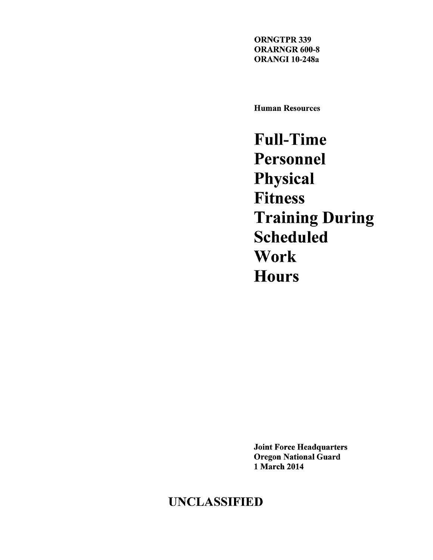ORNGTPR 339 ORARNGR 600-8 ORANGI 10-248a

Human Resources

**Full-Time Personnel Physical Fitness Training During Scheduled Work Hours** 

Joint Force Headquarters Oregon National Guard 1 March 2014

# UNCLASSIFIED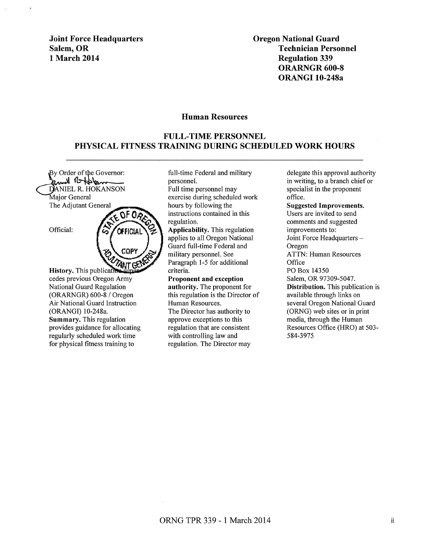Joint Force Headquarters Salem, OR 1 March 2014

Oregon National Guard Technician Personnel Regulation 339 ORARNGR 600-8 ORANGI 10-248a

#### Human Resources

#### FULL-TIME PERSONNEL PHYSICAL FITNESS TRAINING DURING SCHEDULED WORK HOURS

By Order of the Governor: and Rufflan DANIEL R. HOKANSON Maior General The Adjutant General

OF Ox

COPY

Official:

**ANT GO** History. This publicativ cedes previous Oregon Army National Guard Regulation (ORARNGR) 600-8 / Oregon Air National Guard Instruction (ORANGI) 10-248a. Summary. This regulation provides guidance for allocating regularly scheduled work time for physical fitness training to

full-time Federal and military personnel.

Full time personnel may exercise during scheduled work hours by following the instructions contained in this regulation.

Applicability. This regulation applies to all Oregon National Guard full-time Federal and military personnel. See Paragraph 1-5 for additional criteria.

Proponent and exception authority. The proponent for this regulation is the Director of Human Resources. The Director has authority to approve exceptions to this regulation that are consistent with controlling law and regulation. The Director may

delegate this approval authority in writing, to a branch chief or specialist in the proponent office. Suggested Improvements. Users are invited to send comments and suggested improvements to: Joint Force Headquarters -Oregon ATTN: Human Resources **Office** PO Box 14350 Salem, OR 97309-5047. Distribution. This publication is available through links on several Oregon National Guard (ORNG) web sites or in print media, through the Human Resources Office (HRO) at 503- 584-3975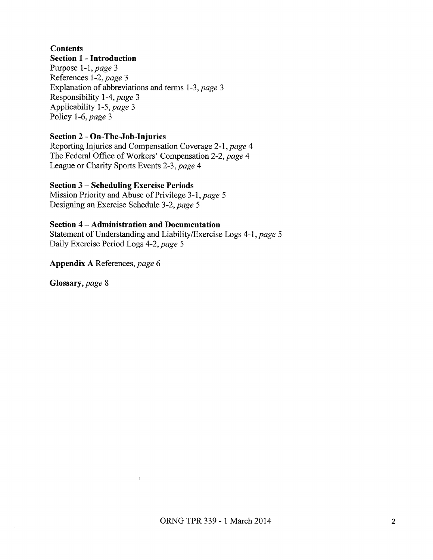# **Contents**

#### **Section 1 - Introduction**

Purpose 1-1, *page* 3 References *1-2,page* 3 Explanation of abbreviations and terms *1-3,page* 3 Responsibility 1-4, *page* 3 Applicability 1-5, *page* 3 Policy 1-6, *page* 3

## **Section 2 - On-The-Job-Injuries**

Reporting Injuries and Compensation Coverage 2-1, *page* 4 The Federal Office of Workers' Compensation 2-2, page 4 League or Charity Sports Events *2-3,page* 4

#### **Section 3 - Scheduling Exercise Periods**

Mission Priority and Abuse of Privilege 3-1, page 5 Designing an Exercise Schedule *3-2,page* 5

#### **Section 4 -Administration and Documentation**

 $\bar{l}$ 

Statement of Understanding and Liability/Exercise Logs 4-1, page 5 Daily Exercise Period Logs *4-2,page* 5

**Appendix A** References, *page* 6

**Glossary,** *page* 8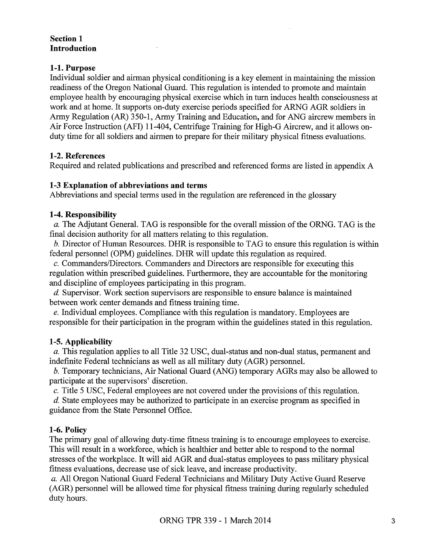#### **Section 1 Introduction**

#### **1-1. Purpose**

Individual soldier and airman physical conditioning is a key element in maintaining the mission readiness of the Oregon National Guard. This regulation is intended to promote and maintain employee health by encouraging physical exercise which in turn induces health consciousness at work and at home. It supports on-duty exercise periods specified for ARNG AGR soldiers in Army Regulation (AR) 350-1, Army Training and Education, and for ANG aircrew members in Air Force Instruction (AFI) 11-404, Centrifuge Training for High-G Aircrew, and it allows onduty time for all soldiers and airmen to prepare for their military physical fitness evaluations.

# **1-2. References**

Required and related publications and prescribed and referenced forms are listed in appendix A

#### **1-3 Explanation of abbreviations and terms**

Abbreviations and special terms used in the regulation are referenced in the glossary

# **1-4. Responsibility**

*a.* The Adjutant General. TAG is responsible for the overall mission of the ORNG. TAG is the final decision authority for all matters relating to this regulation.

*b.* Director of Human Resources. DHR is responsible to TAG to ensure this regulation is within federal personnel (OPM) guidelines. DHR will update this regulation as required.

c. Commanders/Directors. Commanders and Directors are responsible for executing this regulation within prescribed guidelines. Furthermore, they are accountable for the monitoring and discipline of employees participating in this program.

d. Supervisor. Work section supervisors are responsible to ensure balance is maintained between work center demands and fitness training time.

*e.* Individual employees. Compliance with this regulation is mandatory. Employees are responsible for their participation in the program within the guidelines stated in this regulation.

# **1-5. Applicability**

*a.* This regulation applies to all Title 32 USC, dual-status and non-dual status, permanent and indefinite Federal technicians as well as all military duty (AGR) personnel.

b. Temporary technicians, Air National Guard (ANG) temporary AGRs may also be allowed to participate at the supervisors' discretion.

*c.* Title 5 USC, Federal employees are not covered under the provisions of this regulation.

d. State employees may be authorized to participate in an exercise program as specified in guidance from the State Personnel Office.

# **1-6. Policy**

The primary goal of allowing duty-time fitness training is to encourage employees to exercise. This will result in a workforce, which is healthier and better able to respond to the normal stresses of the workplace. It will aid AGR and dual-status employees to pass military physical fitness evaluations, decrease use of sick leave, and increase productivity.

*a.* All Oregon National Guard Federal Technicians and Military Duty Active Guard Reserve (AGR) personnel will be allowed time for physical fitness training during regularly scheduled duty hours.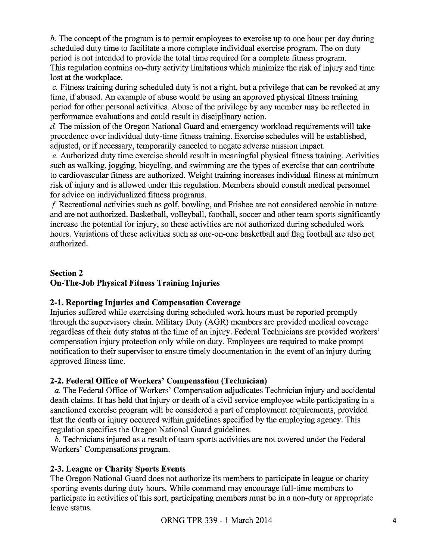b. The concept of the program is to permit employees to exercise up to one hour per day during scheduled duty time to facilitate a more complete individual exercise program. The on duty period is not intended to provide the total time required for a complete fitness program. This regulation contains on-duty activity limitations which minimize the risk of injury and time lost at the workplace.

c. Fitness training during scheduled duty is not a right, but a privilege that can be revoked at any time, if abused. An example of abuse would be using an approved physical fitness training period for other personal activities. Abuse of the privilege by any member may be reflected in performance evaluations and could result in disciplinary action.

d. The mission of the Oregon National Guard and emergency workload requirements will take precedence over individual duty-time fitness training. Exercise schedules will be established, adjusted, or if necessary, temporarily canceled to negate adverse mission impact.

*e.* Authorized duty time exercise should result in meaningful physical fitness training. Activities such as walking, jogging, bicycling, and swimming are the types of exercise that can contribute to cardiovascular fitness are authorized. Weight training increases individual fitness at minimum risk of injury and is allowed under this regulation. Members should consult medical personnel for advice on individualized fitness programs.

f Recreational activities such as golf, bowling, and Frisbee are not considered aerobic in nature and are not authorized. Basketball, volleyball, football, soccer and other team sports significantly increase the potential for injury, so these activities are not authorized during scheduled work hours. Variations of these activities such as one-on-one basketball and flag football are also not authorized.

#### **Section 2 On-The-Job Physical Fitness Training Injuries**

# **2-1. Reporting Injuries and Compensation Coverage**

Injuries suffered while exercising during scheduled work hours must be reported promptly through the supervisory chain. Military Duty (AGR) members are provided medical coverage regardless of their duty status at the time of an injury. Federal Technicians are provided workers' compensation injury protection only while on duty. Employees are required to make prompt notification to their supervisor to ensure timely documentation in the event of an injury during approved fitness time.

# **2-2. Federal Office ofWorkers' Compensation (Technician)**

*a.* The Federal Office of Workers' Compensation adjudicates Technician injury and accidental death claims. It has held that injury or death of a civil service employee while participating in a sanctioned exercise program will be considered a part of employment requirements, provided that the death or injury occurred within guidelines specified by the employing agency. This regulation specifies the Oregon National Guard guidelines.

b. Technicians injured as a result of team sports activities are not covered under the Federal Workers' Compensations program.

# **2-3. League or Charity Sports Events**

The Oregon National Guard does not authorize its members to participate in league or charity sporting events during duty hours. While command may encourage full-time members to participate in activities of this sort, participating members must be in a non-duty or appropriate leave status.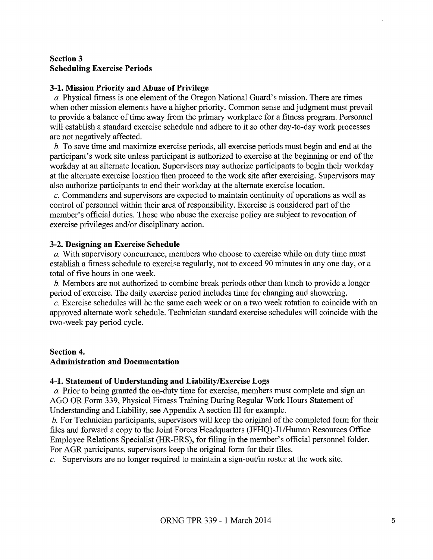#### **Section 3 Scheduling Exercise Periods**

#### **3-1. Mission Priority and Abuse of Privilege**

*a.* Physical fitness is one element of the Oregon National Guard's mission. There are times when other mission elements have a higher priority. Common sense and judgment must prevail to provide a balance of time away from the primary workplace for a fitness program. Personnel will establish a standard exercise schedule and adhere to it so other day-to-day work processes are not negatively affected.

b. To save time and maximize exercise periods, all exercise periods must begin and end at the participant's work site unless participant is authorized to exercise at the beginning or end of the workday at an alternate location. Supervisors may authorize participants to begin their workday at the alternate exercise location then proceed to the work site after exercising. Supervisors may also authorize participants to end their workday at the alternate exercise location.

*c.* Commanders and supervisors are expected to maintain continuity of operations as well as control of personnel within their area of responsibility. Exercise is considered part of the member's official duties. Those who abuse the exercise policy are subject to revocation of exercise privileges and/or disciplinary action.

#### **3-2. Designing an Exercise Schedule**

*a.* With supervisory concurrence, members who choose to exercise while on duty time must establish a fitness schedule to exercise regularly, not to exceed 90 minutes in any one day, or a total of five hours in one week.

b. Members are not authorized to combine break periods other than lunch to provide a longer period of exercise. The daily exercise period includes time for changing and showering.

*c.* Exercise schedules will be the same each week or on a two week rotation to coincide with an approved alternate work schedule. Technician standard exercise schedules will coincide with the two-week pay period cycle.

#### **Section 4.**

#### **Administration and Documentation**

#### **4-1. Statement of Understanding and Liability/Exercise Logs**

*a.* Prior to being granted the on-duty time for exercise, members must complete and sign an AGO OR Form 339, Physical Fitness Training During Regular Work Hours Statement of Understanding and Liability, see Appendix A section III for example.

b. For Technician participants, supervisors will keep the original of the completed form for their files and forward a copy to the Joint Forces Headquarters (JFHQ)-Jl/Human Resources Office Employee Relations Specialist (HR-ERS), for filing in the member's official personnel folder. For AGR participants, supervisors keep the original form for their files.

*c.* Supervisors are no longer required to maintain a sign-out/in roster at the work site.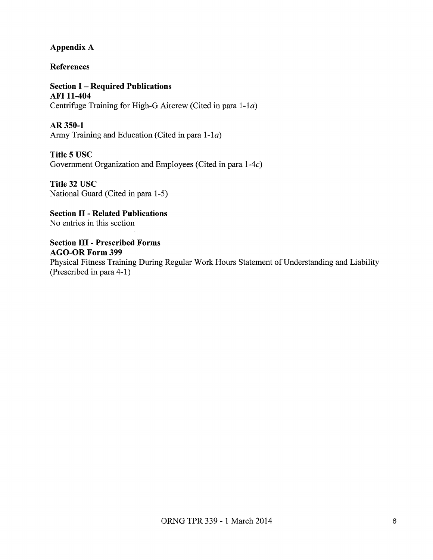#### Appendix A

References

**Section I - Required Publications** AFI 11-404 Centrifuge Training for High-G Aircrew (Cited in para 1-1a)

AR350-1 Army Training and Education (Cited in para 1-1a)

Title 5 USC Government Organization and Employees (Cited in para 1-4c)

Title 32 USC National Guard (Cited in para 1-5)

Section II - Related Publications No entries in this section

Section III - Prescribed Forms AGO-OR Form 399 Physical Fitness Training During Regular Work Hours Statement of Understanding and Liability (Prescribed in para 4-1)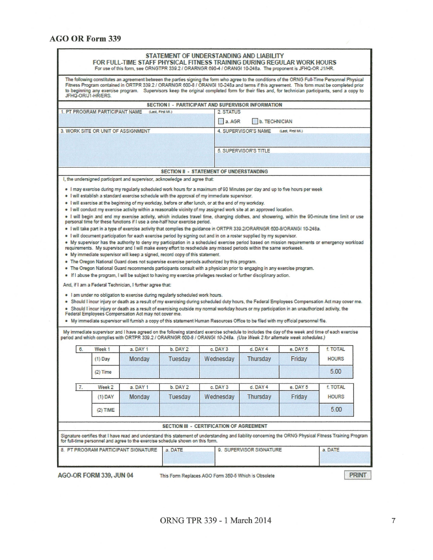| JFHQ-ORU1-HR/ERS                   |                                                                                                                                                         |                                                                                                                                                                                                                                                                                                                                                                  |                  | The following constitutes an agreement between the parties signing the form who agree to the conditions of the ORNG Full-Time Personnel Physical<br>Fitness Program contained in ORTPR 339.2 / ORARNGR 600-8 / ORANGI 10-248a and terms if this agreement. This form must be completed prior<br>to beginning any exercise program. Supervisors keep the original completed form for their files and, for technician participants, send a copy to                                                                                                                                                                                                                                                                                                                                                                                                                                                                                                                                                                                                                                                                                                                                                                                                                                                                                                                                                                                                               |                       |                  |                 |  |
|------------------------------------|---------------------------------------------------------------------------------------------------------------------------------------------------------|------------------------------------------------------------------------------------------------------------------------------------------------------------------------------------------------------------------------------------------------------------------------------------------------------------------------------------------------------------------|------------------|----------------------------------------------------------------------------------------------------------------------------------------------------------------------------------------------------------------------------------------------------------------------------------------------------------------------------------------------------------------------------------------------------------------------------------------------------------------------------------------------------------------------------------------------------------------------------------------------------------------------------------------------------------------------------------------------------------------------------------------------------------------------------------------------------------------------------------------------------------------------------------------------------------------------------------------------------------------------------------------------------------------------------------------------------------------------------------------------------------------------------------------------------------------------------------------------------------------------------------------------------------------------------------------------------------------------------------------------------------------------------------------------------------------------------------------------------------------|-----------------------|------------------|-----------------|--|
|                                    |                                                                                                                                                         |                                                                                                                                                                                                                                                                                                                                                                  |                  | SECTION I - PARTICIPANT AND SUPERVISOR INFORMATION                                                                                                                                                                                                                                                                                                                                                                                                                                                                                                                                                                                                                                                                                                                                                                                                                                                                                                                                                                                                                                                                                                                                                                                                                                                                                                                                                                                                             |                       |                  |                 |  |
|                                    | 1. PT PROGRAM PARTICIPANT NAME                                                                                                                          |                                                                                                                                                                                                                                                                                                                                                                  | (Last, First ML) | 2. STATUS                                                                                                                                                                                                                                                                                                                                                                                                                                                                                                                                                                                                                                                                                                                                                                                                                                                                                                                                                                                                                                                                                                                                                                                                                                                                                                                                                                                                                                                      |                       |                  |                 |  |
|                                    |                                                                                                                                                         |                                                                                                                                                                                                                                                                                                                                                                  |                  | a. AGR                                                                                                                                                                                                                                                                                                                                                                                                                                                                                                                                                                                                                                                                                                                                                                                                                                                                                                                                                                                                                                                                                                                                                                                                                                                                                                                                                                                                                                                         | <b>b. TECHNICIAN</b>  |                  |                 |  |
| 3. WORK SITE OR UNIT OF ASSIGNMENT |                                                                                                                                                         |                                                                                                                                                                                                                                                                                                                                                                  |                  |                                                                                                                                                                                                                                                                                                                                                                                                                                                                                                                                                                                                                                                                                                                                                                                                                                                                                                                                                                                                                                                                                                                                                                                                                                                                                                                                                                                                                                                                | 4. SUPERVISOR'S NAME  | (Last, First ML) |                 |  |
|                                    |                                                                                                                                                         |                                                                                                                                                                                                                                                                                                                                                                  |                  |                                                                                                                                                                                                                                                                                                                                                                                                                                                                                                                                                                                                                                                                                                                                                                                                                                                                                                                                                                                                                                                                                                                                                                                                                                                                                                                                                                                                                                                                |                       |                  |                 |  |
|                                    |                                                                                                                                                         |                                                                                                                                                                                                                                                                                                                                                                  |                  |                                                                                                                                                                                                                                                                                                                                                                                                                                                                                                                                                                                                                                                                                                                                                                                                                                                                                                                                                                                                                                                                                                                                                                                                                                                                                                                                                                                                                                                                |                       |                  |                 |  |
|                                    |                                                                                                                                                         |                                                                                                                                                                                                                                                                                                                                                                  |                  |                                                                                                                                                                                                                                                                                                                                                                                                                                                                                                                                                                                                                                                                                                                                                                                                                                                                                                                                                                                                                                                                                                                                                                                                                                                                                                                                                                                                                                                                | 5. SUPERVISOR'S TITLE |                  |                 |  |
|                                    |                                                                                                                                                         |                                                                                                                                                                                                                                                                                                                                                                  |                  |                                                                                                                                                                                                                                                                                                                                                                                                                                                                                                                                                                                                                                                                                                                                                                                                                                                                                                                                                                                                                                                                                                                                                                                                                                                                                                                                                                                                                                                                |                       |                  |                 |  |
|                                    |                                                                                                                                                         |                                                                                                                                                                                                                                                                                                                                                                  |                  | <b>SECTION II - STATEMENT OF UNDERSTANDING</b>                                                                                                                                                                                                                                                                                                                                                                                                                                                                                                                                                                                                                                                                                                                                                                                                                                                                                                                                                                                                                                                                                                                                                                                                                                                                                                                                                                                                                 |                       |                  |                 |  |
|                                    |                                                                                                                                                         | I, the undersigned participant and supervisor, acknowledge and agree that:                                                                                                                                                                                                                                                                                       |                  |                                                                                                                                                                                                                                                                                                                                                                                                                                                                                                                                                                                                                                                                                                                                                                                                                                                                                                                                                                                                                                                                                                                                                                                                                                                                                                                                                                                                                                                                |                       |                  |                 |  |
|                                    |                                                                                                                                                         | personal time for these functions if I use a one-half hour exercise period.<br>. My immediate supervisor will keep a signed, record copy of this statement.<br>And, if I am a Federal Technician, I further agree that:<br>. I am under no obligation to exercise during regularly scheduled work hours.<br>Federal Employees Compensation Act may not cover me. |                  | . I will conduct my exercise activity within a reasonable vicinity of my assigned work site at an approved location.<br>. I will begin and end my exercise activity, which includes travel time, changing clothes, and showering, within the 90-minute time limit or use<br>. I will take part in a type of exercise activity that complies the guidance in ORTPR 339.2/ORARNGR 600-8/ORANGI 10-248a.<br>. I will document participation for each exercise period by signing out and in on a roster supplied by my supervisor.<br>* My supervisor has the authority to deny my participation in a scheduled exercise period based on mission requirements or emergency workload<br>requirements. My supervisor and I will make every effort to reschedule any missed periods within the same workweek.<br>. The Oregon National Guard does not supervise exercise periods authorized by this program.<br>. The Oregon National Guard recommends participants consult with a physician prior to engaging in any exercise program.<br>• If I abuse the program, I will be subject to having my exercise privileges revoked or further disciplinary action.<br>. Should I incur injury or death as a result of my exercising during scheduled duty hours, the Federal Employees Compensation Act may cover me.<br>. Should I incur injury or death as a result of exercising outside my normal workday hours or my participation in an unauthorized activity, the |                       |                  |                 |  |
|                                    |                                                                                                                                                         |                                                                                                                                                                                                                                                                                                                                                                  |                  | . My immediate supervisor will furnish a copy of this statement Human Resources Office to be filed with my official personnel file.<br>My immediate supervisor and I have agreed on the following standard exercise schedule to includes the day of the week and time of each exercise<br>period and which complies with ORTPR 339.2 / ORARNGR 600-8 / ORANGI 10-248a. (Use Week 2 for alternate week schedules.)                                                                                                                                                                                                                                                                                                                                                                                                                                                                                                                                                                                                                                                                                                                                                                                                                                                                                                                                                                                                                                              |                       |                  |                 |  |
| 6.                                 | Week 1                                                                                                                                                  | a DAY 1                                                                                                                                                                                                                                                                                                                                                          | b. DAY 2         | c. DAY 3                                                                                                                                                                                                                                                                                                                                                                                                                                                                                                                                                                                                                                                                                                                                                                                                                                                                                                                                                                                                                                                                                                                                                                                                                                                                                                                                                                                                                                                       | d. DAY 4              | e. DAY 5         | <b>f. TOTAL</b> |  |
|                                    | $(1)$ Day                                                                                                                                               | Monday                                                                                                                                                                                                                                                                                                                                                           | Tuesday          | Wednesdav                                                                                                                                                                                                                                                                                                                                                                                                                                                                                                                                                                                                                                                                                                                                                                                                                                                                                                                                                                                                                                                                                                                                                                                                                                                                                                                                                                                                                                                      | Thursday              | Friday           | <b>HOURS</b>    |  |
|                                    | (2) Time                                                                                                                                                |                                                                                                                                                                                                                                                                                                                                                                  |                  |                                                                                                                                                                                                                                                                                                                                                                                                                                                                                                                                                                                                                                                                                                                                                                                                                                                                                                                                                                                                                                                                                                                                                                                                                                                                                                                                                                                                                                                                |                       |                  | 5.00            |  |
| 7 <sub>1</sub>                     | Week 2                                                                                                                                                  | a. DAY 1                                                                                                                                                                                                                                                                                                                                                         | b. DAY 2         | c. DAY 3                                                                                                                                                                                                                                                                                                                                                                                                                                                                                                                                                                                                                                                                                                                                                                                                                                                                                                                                                                                                                                                                                                                                                                                                                                                                                                                                                                                                                                                       | d. DAY 4              | e. DAY 5         | <b>f. TOTAL</b> |  |
|                                    | $(1)$ DAY                                                                                                                                               |                                                                                                                                                                                                                                                                                                                                                                  | Tuesday          |                                                                                                                                                                                                                                                                                                                                                                                                                                                                                                                                                                                                                                                                                                                                                                                                                                                                                                                                                                                                                                                                                                                                                                                                                                                                                                                                                                                                                                                                | Thursday              | Friday           | <b>HOURS</b>    |  |
|                                    |                                                                                                                                                         | Monday                                                                                                                                                                                                                                                                                                                                                           |                  | Wednesday                                                                                                                                                                                                                                                                                                                                                                                                                                                                                                                                                                                                                                                                                                                                                                                                                                                                                                                                                                                                                                                                                                                                                                                                                                                                                                                                                                                                                                                      |                       |                  |                 |  |
|                                    | $(2)$ TIME                                                                                                                                              |                                                                                                                                                                                                                                                                                                                                                                  |                  |                                                                                                                                                                                                                                                                                                                                                                                                                                                                                                                                                                                                                                                                                                                                                                                                                                                                                                                                                                                                                                                                                                                                                                                                                                                                                                                                                                                                                                                                |                       |                  | 5.00            |  |
|                                    |                                                                                                                                                         |                                                                                                                                                                                                                                                                                                                                                                  |                  |                                                                                                                                                                                                                                                                                                                                                                                                                                                                                                                                                                                                                                                                                                                                                                                                                                                                                                                                                                                                                                                                                                                                                                                                                                                                                                                                                                                                                                                                |                       |                  |                 |  |
|                                    |                                                                                                                                                         |                                                                                                                                                                                                                                                                                                                                                                  |                  | SECTION III - CERTIFICATION OF AGREEMENT                                                                                                                                                                                                                                                                                                                                                                                                                                                                                                                                                                                                                                                                                                                                                                                                                                                                                                                                                                                                                                                                                                                                                                                                                                                                                                                                                                                                                       |                       |                  |                 |  |
|                                    | Signature certifies that I have read and understand this statement of understanding and liability concerning the ORNG Physical Fitness Training Program | for full-time personnel and agree to the exercise schedule shown on this form.                                                                                                                                                                                                                                                                                   |                  |                                                                                                                                                                                                                                                                                                                                                                                                                                                                                                                                                                                                                                                                                                                                                                                                                                                                                                                                                                                                                                                                                                                                                                                                                                                                                                                                                                                                                                                                |                       |                  |                 |  |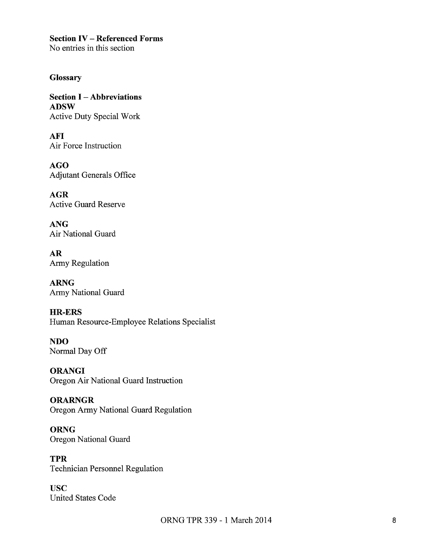**Section IV- Referenced Forms** 

No entries in this section

## **Glossary**

**Section I -Abbreviations ADSW**  Active Duty Special Work

**AFI**  Air Force Instruction

**AGO**  Adjutant Generals Office

**AGR**  Active Guard Reserve

**ANG**  Air National Guard

**AR**  Army Regulation

**ARNG**  Army National Guard

**HR-ERS**  Human Resource-Employee Relations Specialist

**NDO**  Normal Day Off

**ORANGI** Oregon Air National Guard Instruction

**ORARNGR**  Oregon Army National Guard Regulation

**ORNG**  Oregon National Guard

**TPR**  Technician Personnel Regulation

**usc**  United States Code